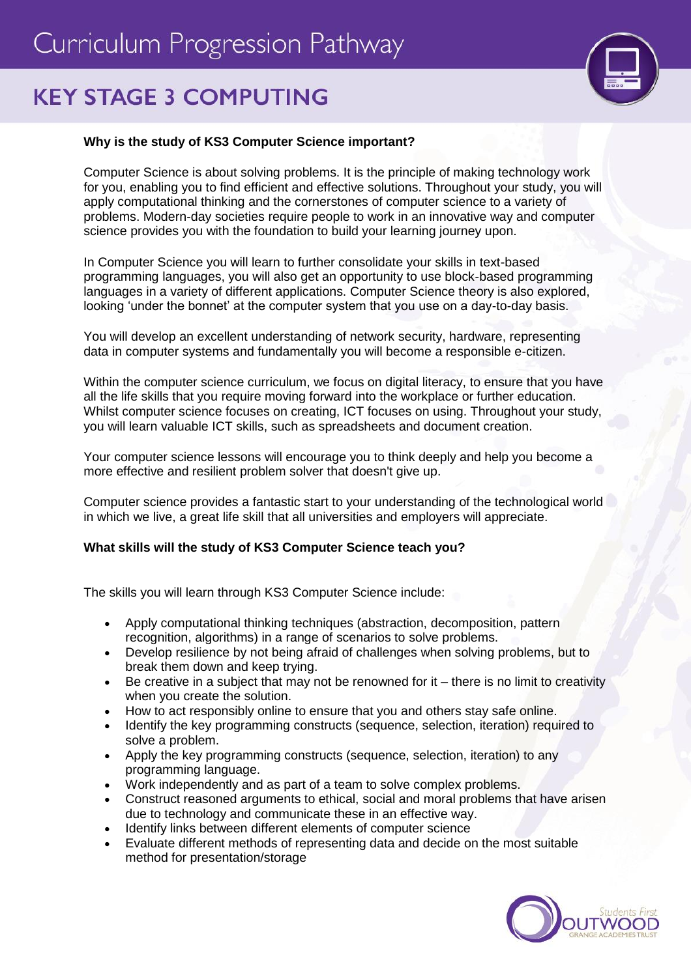# Curriculum Progression Pathway

## **KEY STAGE 3 COMPUTING**



### **Why is the study of KS3 Computer Science important?**

Computer Science is about solving problems. It is the principle of making technology work for you, enabling you to find efficient and effective solutions. Throughout your study, you will apply computational thinking and the cornerstones of computer science to a variety of problems. Modern-day societies require people to work in an innovative way and computer science provides you with the foundation to build your learning journey upon.

In Computer Science you will learn to further consolidate your skills in text-based programming languages, you will also get an opportunity to use block-based programming languages in a variety of different applications. Computer Science theory is also explored, looking 'under the bonnet' at the computer system that you use on a day-to-day basis.

You will develop an excellent understanding of network security, hardware, representing data in computer systems and fundamentally you will become a responsible e-citizen.

Within the computer science curriculum, we focus on digital literacy, to ensure that you have all the life skills that you require moving forward into the workplace or further education. Whilst computer science focuses on creating, ICT focuses on using. Throughout your study, you will learn valuable ICT skills, such as spreadsheets and document creation.

Your computer science lessons will encourage you to think deeply and help you become a more effective and resilient problem solver that doesn't give up.

Computer science provides a fantastic start to your understanding of the technological world in which we live, a great life skill that all universities and employers will appreciate.

#### **What skills will the study of KS3 Computer Science teach you?**

The skills you will learn through KS3 Computer Science include:

- Apply computational thinking techniques (abstraction, decomposition, pattern recognition, algorithms) in a range of scenarios to solve problems.
- Develop resilience by not being afraid of challenges when solving problems, but to break them down and keep trying.
- $\bullet$  Be creative in a subject that may not be renowned for it there is no limit to creativity when you create the solution.
- How to act responsibly online to ensure that you and others stay safe online.
- Identify the key programming constructs (sequence, selection, iteration) required to solve a problem.
- Apply the key programming constructs (sequence, selection, iteration) to any programming language.
- Work independently and as part of a team to solve complex problems.
- Construct reasoned arguments to ethical, social and moral problems that have arisen due to technology and communicate these in an effective way.
- Identify links between different elements of computer science
- Evaluate different methods of representing data and decide on the most suitable method for presentation/storage

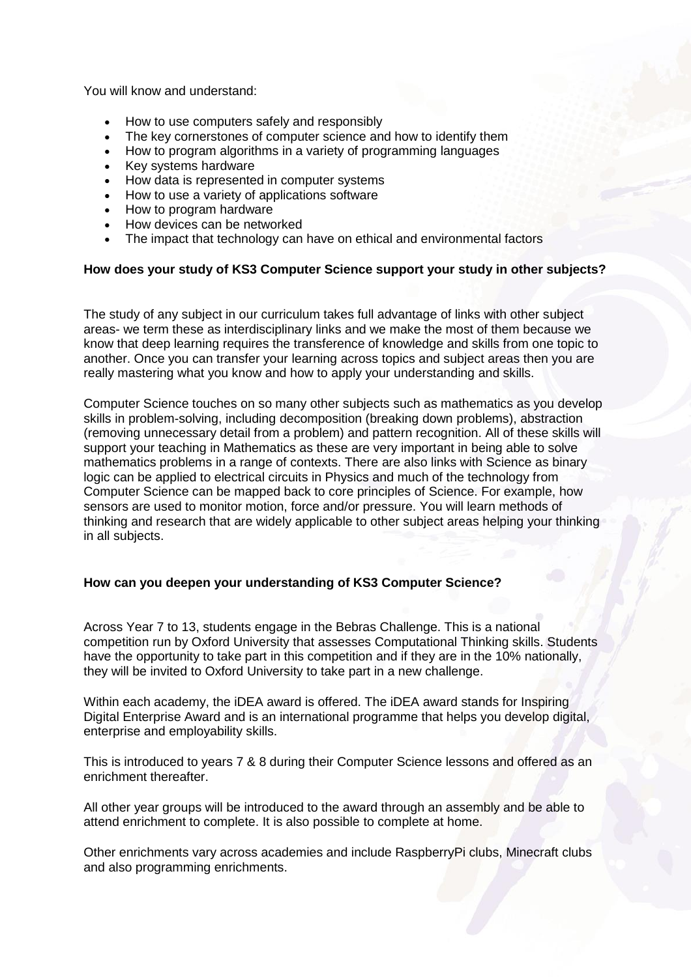You will know and understand:

- How to use computers safely and responsibly
- The key cornerstones of computer science and how to identify them
- How to program algorithms in a variety of programming languages
- Key systems hardware
- How data is represented in computer systems
- How to use a variety of applications software
- How to program hardware
- How devices can be networked
- The impact that technology can have on ethical and environmental factors

#### **How does your study of KS3 Computer Science support your study in other subjects?**

The study of any subject in our curriculum takes full advantage of links with other subject areas- we term these as interdisciplinary links and we make the most of them because we know that deep learning requires the transference of knowledge and skills from one topic to another. Once you can transfer your learning across topics and subject areas then you are really mastering what you know and how to apply your understanding and skills.

Computer Science touches on so many other subjects such as mathematics as you develop skills in problem-solving, including decomposition (breaking down problems), abstraction (removing unnecessary detail from a problem) and pattern recognition. All of these skills will support your teaching in Mathematics as these are very important in being able to solve mathematics problems in a range of contexts. There are also links with Science as binary logic can be applied to electrical circuits in Physics and much of the technology from Computer Science can be mapped back to core principles of Science. For example, how sensors are used to monitor motion, force and/or pressure. You will learn methods of thinking and research that are widely applicable to other subject areas helping your thinking in all subjects.

#### **How can you deepen your understanding of KS3 Computer Science?**

Across Year 7 to 13, students engage in the Bebras Challenge. This is a national competition run by Oxford University that assesses Computational Thinking skills. Students have the opportunity to take part in this competition and if they are in the 10% nationally, they will be invited to Oxford University to take part in a new challenge.

Within each academy, the iDEA award is offered. The iDEA award stands for Inspiring Digital Enterprise Award and is an international programme that helps you develop digital, enterprise and employability skills.

This is introduced to years 7 & 8 during their Computer Science lessons and offered as an enrichment thereafter.

All other year groups will be introduced to the award through an assembly and be able to attend enrichment to complete. It is also possible to complete at home.

Other enrichments vary across academies and include RaspberryPi clubs, Minecraft clubs and also programming enrichments.